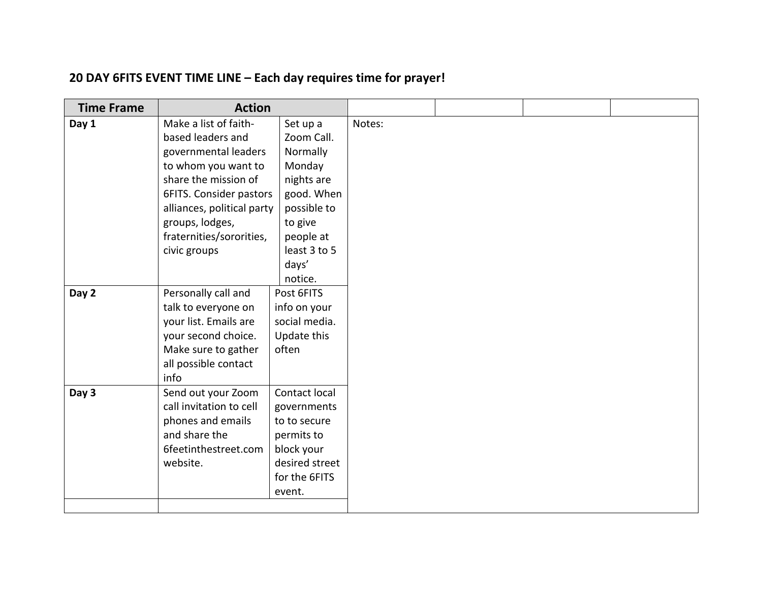## **20 DAY 6FITS EVENT TIME LINE – Each day requires time for prayer!**

| <b>Time Frame</b> | <b>Action</b>              |                |        |  |  |
|-------------------|----------------------------|----------------|--------|--|--|
| Day 1             | Make a list of faith-      | Set up a       | Notes: |  |  |
|                   | based leaders and          | Zoom Call.     |        |  |  |
|                   | governmental leaders       | Normally       |        |  |  |
|                   | to whom you want to        | Monday         |        |  |  |
|                   | share the mission of       | nights are     |        |  |  |
|                   | 6FITS. Consider pastors    | good. When     |        |  |  |
|                   | alliances, political party | possible to    |        |  |  |
|                   | groups, lodges,            | to give        |        |  |  |
|                   | fraternities/sororities,   | people at      |        |  |  |
|                   | civic groups               | least 3 to 5   |        |  |  |
|                   |                            | days'          |        |  |  |
|                   |                            | notice.        |        |  |  |
| Day 2             | Personally call and        | Post 6FITS     |        |  |  |
|                   | talk to everyone on        | info on your   |        |  |  |
|                   | your list. Emails are      | social media.  |        |  |  |
|                   | your second choice.        | Update this    |        |  |  |
|                   | Make sure to gather        | often          |        |  |  |
|                   | all possible contact       |                |        |  |  |
|                   | info                       |                |        |  |  |
| Day 3             | Send out your Zoom         | Contact local  |        |  |  |
|                   | call invitation to cell    | governments    |        |  |  |
|                   | phones and emails          | to to secure   |        |  |  |
|                   | and share the              | permits to     |        |  |  |
|                   | 6feetinthestreet.com       | block your     |        |  |  |
|                   | website.                   | desired street |        |  |  |
|                   |                            | for the 6FITS  |        |  |  |
|                   |                            | event.         |        |  |  |
|                   |                            |                |        |  |  |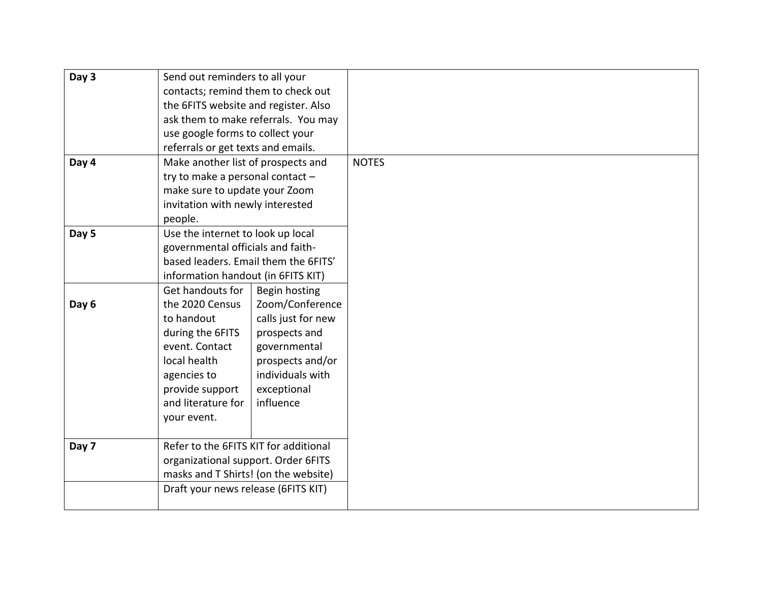| Day 3 | Send out reminders to all your        |                                     |              |
|-------|---------------------------------------|-------------------------------------|--------------|
|       | contacts; remind them to check out    |                                     |              |
|       | the 6FITS website and register. Also  |                                     |              |
|       |                                       | ask them to make referrals. You may |              |
|       | use google forms to collect your      |                                     |              |
|       | referrals or get texts and emails.    |                                     |              |
| Day 4 | Make another list of prospects and    |                                     | <b>NOTES</b> |
|       | try to make a personal contact -      |                                     |              |
|       | make sure to update your Zoom         |                                     |              |
|       | invitation with newly interested      |                                     |              |
|       | people.                               |                                     |              |
| Day 5 | Use the internet to look up local     |                                     |              |
|       | governmental officials and faith-     |                                     |              |
|       | based leaders. Email them the 6FITS'  |                                     |              |
|       | information handout (in 6FITS KIT)    |                                     |              |
|       | Get handouts for                      | Begin hosting                       |              |
| Day 6 | the 2020 Census                       | Zoom/Conference                     |              |
|       | to handout                            | calls just for new                  |              |
|       | during the 6FITS                      | prospects and                       |              |
|       | event. Contact                        | governmental                        |              |
|       | local health                          | prospects and/or                    |              |
|       | agencies to                           | individuals with                    |              |
|       | provide support                       | exceptional                         |              |
|       | and literature for                    | influence                           |              |
|       | your event.                           |                                     |              |
|       |                                       |                                     |              |
| Day 7 | Refer to the 6FITS KIT for additional |                                     |              |
|       | organizational support. Order 6FITS   |                                     |              |
|       | masks and T Shirts! (on the website)  |                                     |              |
|       | Draft your news release (6FITS KIT)   |                                     |              |
|       |                                       |                                     |              |